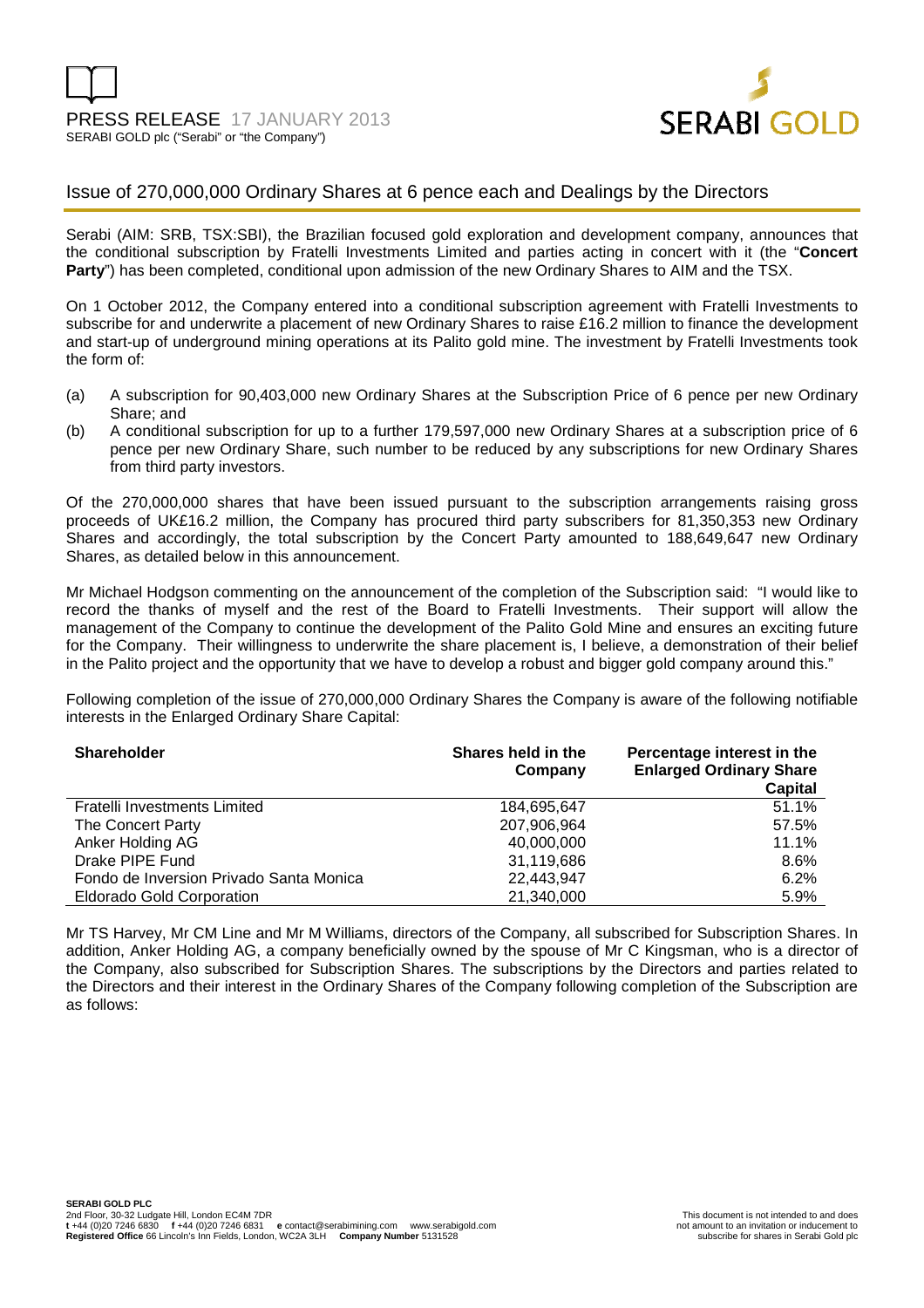

# Issue of 270,000,000 Ordinary Shares at 6 pence each and Dealings by the Directors

Serabi (AIM: SRB, TSX:SBI), the Brazilian focused gold exploration and development company, announces that the conditional subscription by Fratelli Investments Limited and parties acting in concert with it (the "**Concert Party**") has been completed, conditional upon admission of the new Ordinary Shares to AIM and the TSX.

On 1 October 2012, the Company entered into a conditional subscription agreement with Fratelli Investments to subscribe for and underwrite a placement of new Ordinary Shares to raise £16.2 million to finance the development and start-up of underground mining operations at its Palito gold mine. The investment by Fratelli Investments took the form of:

- (a) A subscription for 90,403,000 new Ordinary Shares at the Subscription Price of 6 pence per new Ordinary Share; and
- (b) A conditional subscription for up to a further 179,597,000 new Ordinary Shares at a subscription price of 6 pence per new Ordinary Share, such number to be reduced by any subscriptions for new Ordinary Shares from third party investors.

Of the 270,000,000 shares that have been issued pursuant to the subscription arrangements raising gross proceeds of UK£16.2 million, the Company has procured third party subscribers for 81,350,353 new Ordinary Shares and accordingly, the total subscription by the Concert Party amounted to 188,649,647 new Ordinary Shares, as detailed below in this announcement.

Mr Michael Hodgson commenting on the announcement of the completion of the Subscription said: "I would like to record the thanks of myself and the rest of the Board to Fratelli Investments. Their support will allow the management of the Company to continue the development of the Palito Gold Mine and ensures an exciting future for the Company. Their willingness to underwrite the share placement is, I believe, a demonstration of their belief in the Palito project and the opportunity that we have to develop a robust and bigger gold company around this."

Following completion of the issue of 270,000,000 Ordinary Shares the Company is aware of the following notifiable interests in the Enlarged Ordinary Share Capital:

| <b>Shareholder</b>                      | Shares held in the<br>Company | Percentage interest in the<br><b>Enlarged Ordinary Share</b><br>Capital |
|-----------------------------------------|-------------------------------|-------------------------------------------------------------------------|
| Fratelli Investments Limited            | 184,695,647                   | 51.1%                                                                   |
| The Concert Party                       | 207,906,964                   | 57.5%                                                                   |
| Anker Holding AG                        | 40.000.000                    | 11.1%                                                                   |
| Drake PIPE Fund                         | 31,119,686                    | 8.6%                                                                    |
| Fondo de Inversion Privado Santa Monica | 22,443,947                    | 6.2%                                                                    |
| <b>Eldorado Gold Corporation</b>        | 21,340,000                    | 5.9%                                                                    |

Mr TS Harvey, Mr CM Line and Mr M Williams, directors of the Company, all subscribed for Subscription Shares. In addition, Anker Holding AG, a company beneficially owned by the spouse of Mr C Kingsman, who is a director of the Company, also subscribed for Subscription Shares. The subscriptions by the Directors and parties related to the Directors and their interest in the Ordinary Shares of the Company following completion of the Subscription are as follows: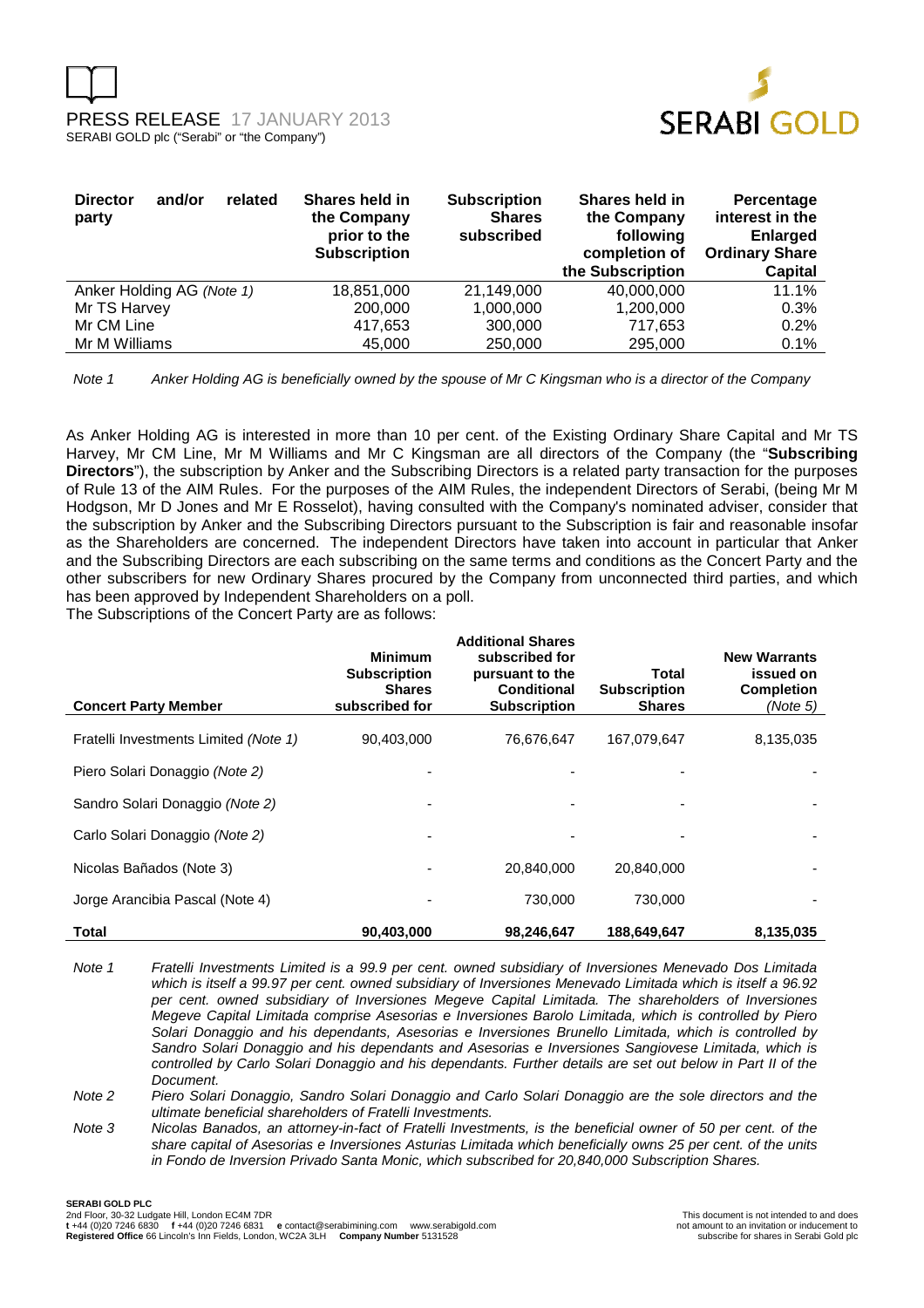



| <b>Director</b><br>and/or<br>related<br>party | Shares held in<br>the Company<br>prior to the<br><b>Subscription</b> | <b>Subscription</b><br><b>Shares</b><br>subscribed | Shares held in<br>the Company<br>following<br>completion of<br>the Subscription | Percentage<br>interest in the<br><b>Enlarged</b><br><b>Ordinary Share</b><br>Capital |
|-----------------------------------------------|----------------------------------------------------------------------|----------------------------------------------------|---------------------------------------------------------------------------------|--------------------------------------------------------------------------------------|
| Anker Holding AG (Note 1)                     | 18.851.000                                                           | 21.149.000                                         | 40,000,000                                                                      | 11.1%                                                                                |
| Mr TS Harvey                                  | 200,000                                                              | 1,000,000                                          | 1,200,000                                                                       | 0.3%                                                                                 |
| Mr CM Line                                    | 417,653                                                              | 300,000                                            | 717.653                                                                         | 0.2%                                                                                 |
| Mr M Williams                                 | 45,000                                                               | 250,000                                            | 295,000                                                                         | 0.1%                                                                                 |

Note 1 Anker Holding AG is beneficially owned by the spouse of Mr C Kingsman who is a director of the Company

As Anker Holding AG is interested in more than 10 per cent. of the Existing Ordinary Share Capital and Mr TS Harvey, Mr CM Line, Mr M Williams and Mr C Kingsman are all directors of the Company (the "**Subscribing Directors**"), the subscription by Anker and the Subscribing Directors is a related party transaction for the purposes of Rule 13 of the AIM Rules. For the purposes of the AIM Rules, the independent Directors of Serabi, (being Mr M Hodgson, Mr D Jones and Mr E Rosselot), having consulted with the Company's nominated adviser, consider that the subscription by Anker and the Subscribing Directors pursuant to the Subscription is fair and reasonable insofar as the Shareholders are concerned. The independent Directors have taken into account in particular that Anker and the Subscribing Directors are each subscribing on the same terms and conditions as the Concert Party and the other subscribers for new Ordinary Shares procured by the Company from unconnected third parties, and which has been approved by Independent Shareholders on a poll.

The Subscriptions of the Concert Party are as follows:

| <b>Concert Party Member</b>           | <b>Minimum</b><br><b>Subscription</b><br><b>Shares</b><br>subscribed for | <b>Additional Shares</b><br>subscribed for<br>pursuant to the<br><b>Conditional</b><br><b>Subscription</b> | Total<br><b>Subscription</b><br><b>Shares</b> | <b>New Warrants</b><br>issued on<br><b>Completion</b><br>(Note 5) |
|---------------------------------------|--------------------------------------------------------------------------|------------------------------------------------------------------------------------------------------------|-----------------------------------------------|-------------------------------------------------------------------|
| Fratelli Investments Limited (Note 1) | 90,403,000                                                               | 76,676,647                                                                                                 | 167.079.647                                   | 8,135,035                                                         |
| Piero Solari Donaggio (Note 2)        |                                                                          |                                                                                                            |                                               |                                                                   |
| Sandro Solari Donaggio (Note 2)       |                                                                          |                                                                                                            |                                               |                                                                   |
| Carlo Solari Donaggio (Note 2)        |                                                                          |                                                                                                            |                                               |                                                                   |
| Nicolas Bañados (Note 3)              |                                                                          | 20.840.000                                                                                                 | 20,840,000                                    |                                                                   |
| Jorge Arancibia Pascal (Note 4)       |                                                                          | 730,000                                                                                                    | 730.000                                       |                                                                   |
| Total                                 | 90,403,000                                                               | 98,246,647                                                                                                 | 188.649.647                                   | 8,135,035                                                         |

Note 1 Fratelli Investments Limited is a 99.9 per cent. owned subsidiary of Inversiones Menevado Dos Limitada which is itself a 99.97 per cent. owned subsidiary of Inversiones Menevado Limitada which is itself a 96.92 per cent. owned subsidiary of Inversiones Megeve Capital Limitada. The shareholders of Inversiones Megeve Capital Limitada comprise Asesorias e Inversiones Barolo Limitada, which is controlled by Piero Solari Donaggio and his dependants, Asesorias e Inversiones Brunello Limitada, which is controlled by Sandro Solari Donaggio and his dependants and Asesorias e Inversiones Sangiovese Limitada, which is controlled by Carlo Solari Donaggio and his dependants. Further details are set out below in Part II of the Document.

Note 2 Piero Solari Donaggio, Sandro Solari Donaggio and Carlo Solari Donaggio are the sole directors and the ultimate beneficial shareholders of Fratelli Investments.

Note 3 Nicolas Banados, an attorney-in-fact of Fratelli Investments, is the beneficial owner of 50 per cent. of the share capital of Asesorias e Inversiones Asturias Limitada which beneficially owns 25 per cent. of the units in Fondo de Inversion Privado Santa Monic, which subscribed for 20,840,000 Subscription Shares.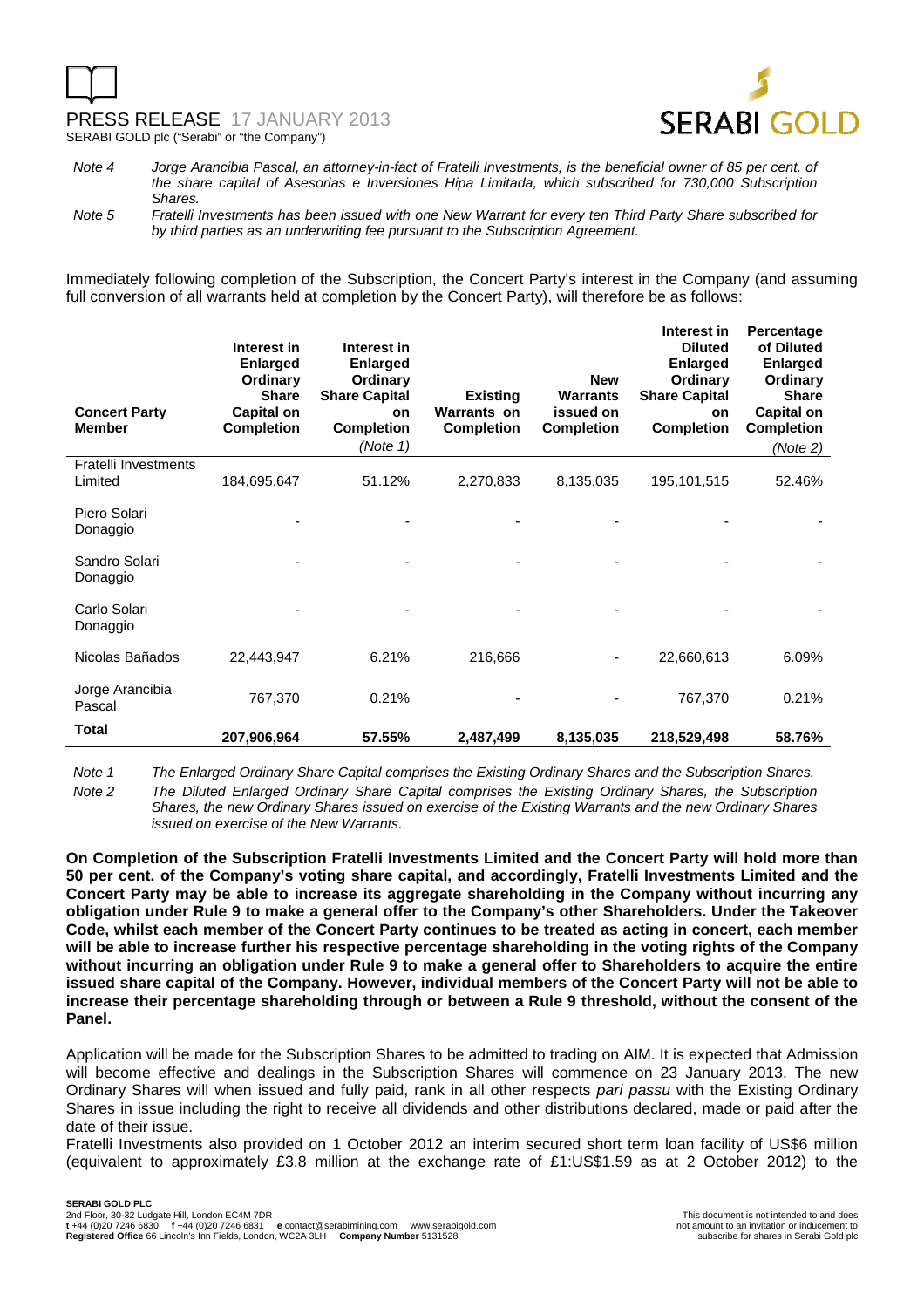# PRESS RELEASE 17 JANUARY 2013 SERABI GOLD plc ("Serabi" or "the Company")



Note 4 Jorge Arancibia Pascal, an attorney-in-fact of Fratelli Investments, is the beneficial owner of 85 per cent. of the share capital of Asesorias e Inversiones Hipa Limitada, which subscribed for 730,000 Subscription Shares.

Note 5 Fratelli Investments has been issued with one New Warrant for every ten Third Party Share subscribed for by third parties as an underwriting fee pursuant to the Subscription Agreement.

Immediately following completion of the Subscription, the Concert Party's interest in the Company (and assuming full conversion of all warrants held at completion by the Concert Party), will therefore be as follows:

| <b>Concert Party</b><br><b>Member</b>  | Interest in<br><b>Enlarged</b><br>Ordinary<br><b>Share</b><br><b>Capital on</b><br><b>Completion</b> | Interest in<br><b>Enlarged</b><br>Ordinary<br><b>Share Capital</b><br>on<br><b>Completion</b><br>(Note 1) | <b>Existing</b><br><b>Warrants on</b><br><b>Completion</b> | <b>New</b><br><b>Warrants</b><br>issued on<br><b>Completion</b> | Interest in<br><b>Diluted</b><br><b>Enlarged</b><br>Ordinary<br><b>Share Capital</b><br>on<br><b>Completion</b> | Percentage<br>of Diluted<br><b>Enlarged</b><br>Ordinary<br><b>Share</b><br><b>Capital on</b><br><b>Completion</b><br>(Note 2) |
|----------------------------------------|------------------------------------------------------------------------------------------------------|-----------------------------------------------------------------------------------------------------------|------------------------------------------------------------|-----------------------------------------------------------------|-----------------------------------------------------------------------------------------------------------------|-------------------------------------------------------------------------------------------------------------------------------|
| <b>Fratelli Investments</b><br>Limited | 184,695,647                                                                                          | 51.12%                                                                                                    | 2,270,833                                                  | 8,135,035                                                       | 195, 101, 515                                                                                                   | 52.46%                                                                                                                        |
| Piero Solari<br>Donaggio               |                                                                                                      |                                                                                                           |                                                            |                                                                 |                                                                                                                 |                                                                                                                               |
| Sandro Solari<br>Donaggio              |                                                                                                      |                                                                                                           |                                                            |                                                                 |                                                                                                                 |                                                                                                                               |
| Carlo Solari<br>Donaggio               |                                                                                                      |                                                                                                           |                                                            |                                                                 |                                                                                                                 |                                                                                                                               |
| Nicolas Bañados                        | 22,443,947                                                                                           | 6.21%                                                                                                     | 216,666                                                    |                                                                 | 22,660,613                                                                                                      | 6.09%                                                                                                                         |
| Jorge Arancibia<br>Pascal              | 767,370                                                                                              | 0.21%                                                                                                     |                                                            |                                                                 | 767,370                                                                                                         | 0.21%                                                                                                                         |
| Total                                  | 207,906,964                                                                                          | 57.55%                                                                                                    | 2,487,499                                                  | 8,135,035                                                       | 218,529,498                                                                                                     | 58.76%                                                                                                                        |

Note 1 The Enlarged Ordinary Share Capital comprises the Existing Ordinary Shares and the Subscription Shares. Note 2 The Diluted Enlarged Ordinary Share Capital comprises the Existing Ordinary Shares, the Subscription

Shares, the new Ordinary Shares issued on exercise of the Existing Warrants and the new Ordinary Shares issued on exercise of the New Warrants.

**On Completion of the Subscription Fratelli Investments Limited and the Concert Party will hold more than 50 per cent. of the Company's voting share capital, and accordingly, Fratelli Investments Limited and the Concert Party may be able to increase its aggregate shareholding in the Company without incurring any obligation under Rule 9 to make a general offer to the Company's other Shareholders. Under the Takeover Code, whilst each member of the Concert Party continues to be treated as acting in concert, each member will be able to increase further his respective percentage shareholding in the voting rights of the Company without incurring an obligation under Rule 9 to make a general offer to Shareholders to acquire the entire issued share capital of the Company. However, individual members of the Concert Party will not be able to increase their percentage shareholding through or between a Rule 9 threshold, without the consent of the Panel.** 

Application will be made for the Subscription Shares to be admitted to trading on AIM. It is expected that Admission will become effective and dealings in the Subscription Shares will commence on 23 January 2013. The new Ordinary Shares will when issued and fully paid, rank in all other respects pari passu with the Existing Ordinary Shares in issue including the right to receive all dividends and other distributions declared, made or paid after the date of their issue.

Fratelli Investments also provided on 1 October 2012 an interim secured short term loan facility of US\$6 million (equivalent to approximately £3.8 million at the exchange rate of £1:US\$1.59 as at 2 October 2012) to the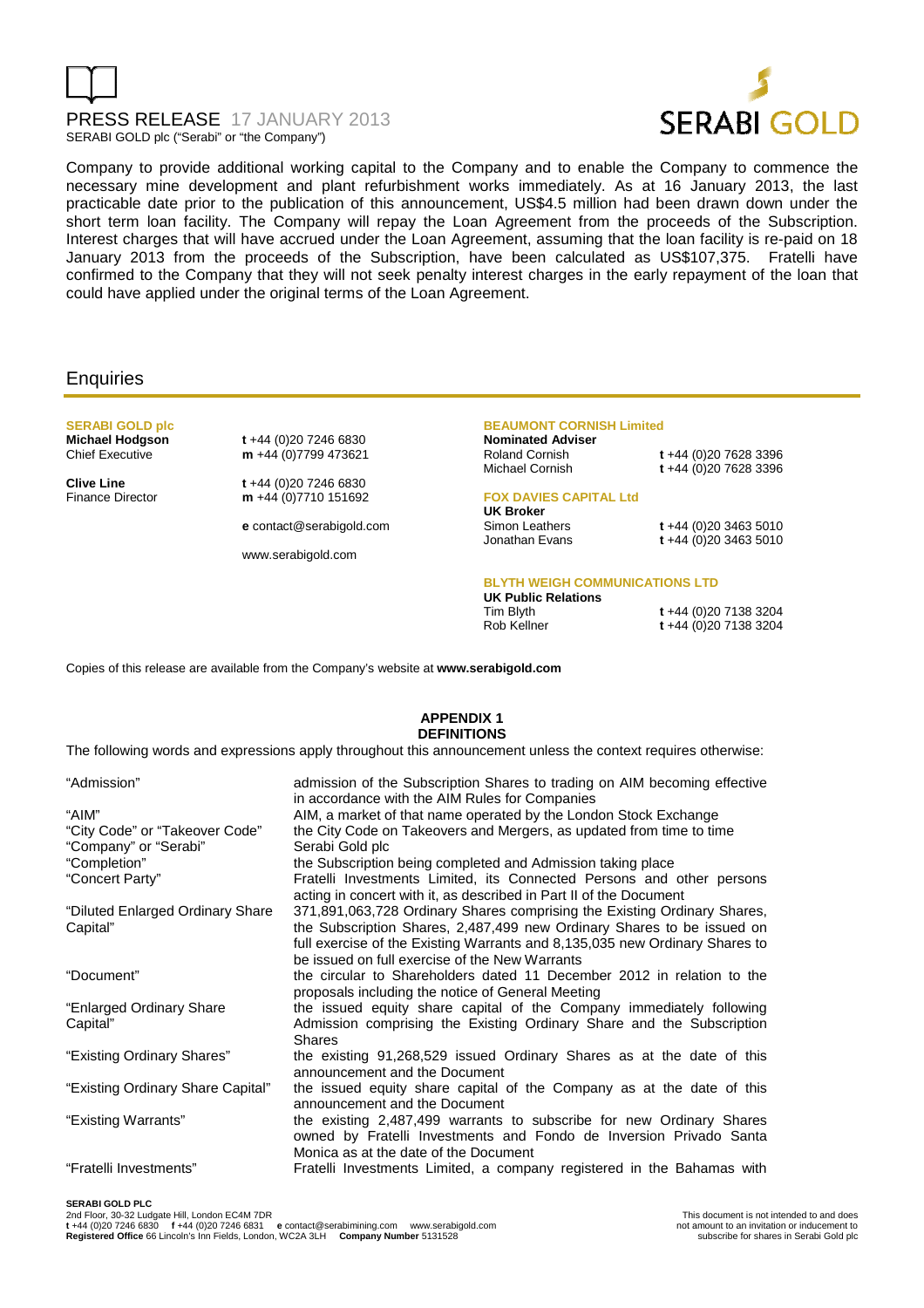



Company to provide additional working capital to the Company and to enable the Company to commence the necessary mine development and plant refurbishment works immediately. As at 16 January 2013, the last practicable date prior to the publication of this announcement, US\$4.5 million had been drawn down under the short term loan facility. The Company will repay the Loan Agreement from the proceeds of the Subscription. Interest charges that will have accrued under the Loan Agreement, assuming that the loan facility is re-paid on 18 January 2013 from the proceeds of the Subscription, have been calculated as US\$107,375. Fratelli have confirmed to the Company that they will not seek penalty interest charges in the early repayment of the loan that could have applied under the original terms of the Loan Agreement.

## **Enquiries**

# **SERABI GOLD plc Michael Hodgson t** +44 (0)20 7246 6830<br>Chief Executive **m** +44 (0)7799 473621

**Clive Line** t +44 (0)20 7246 6830<br>Finance Director **m** +44 (0)7710 151692

m +44 (0)7799 473621

m +44 (0)7710 151692

**e** contact@serabigold.com

www.serabigold.com

#### **BEAUMONT CORNISH Limited**

**Nominated Adviser** 

Roland Cornish **t** +44 (0)20 7628 3396 Michael Cornish **t** +44 (0)20 7628 3396

# **FOX DAVIES CAPITAL Ltd**

# **UK Broker**

Simon Leathers **t** +44 (0)20 3463 5010 t +44 (0)20 3463 5010

#### **BLYTH WEIGH COMMUNICATIONS LTD**

**UK Public Relations**  Rob Kellner **t** +44 (0)20 7138 3204

Tim Blyth **t** +44 (0)20 7138 3204

Copies of this release are available from the Company's website at **www.serabigold.com** 

### **APPENDIX 1 DEFINITIONS**

The following words and expressions apply throughout this announcement unless the context requires otherwise:

| "Admission"                       | admission of the Subscription Shares to trading on AIM becoming effective                                          |
|-----------------------------------|--------------------------------------------------------------------------------------------------------------------|
| "AIM"                             | in accordance with the AIM Rules for Companies<br>AIM, a market of that name operated by the London Stock Exchange |
| "City Code" or "Takeover Code"    | the City Code on Takeovers and Mergers, as updated from time to time                                               |
| "Company" or "Serabi"             | Serabi Gold plc                                                                                                    |
| "Completion"                      | the Subscription being completed and Admission taking place                                                        |
| "Concert Party"                   | Fratelli Investments Limited, its Connected Persons and other persons                                              |
|                                   | acting in concert with it, as described in Part II of the Document                                                 |
| "Diluted Enlarged Ordinary Share  | 371,891,063,728 Ordinary Shares comprising the Existing Ordinary Shares,                                           |
| Capital"                          | the Subscription Shares, 2,487,499 new Ordinary Shares to be issued on                                             |
|                                   | full exercise of the Existing Warrants and 8,135,035 new Ordinary Shares to                                        |
|                                   | be issued on full exercise of the New Warrants                                                                     |
| "Document"                        | the circular to Shareholders dated 11 December 2012 in relation to the                                             |
|                                   | proposals including the notice of General Meeting                                                                  |
| "Enlarged Ordinary Share          | the issued equity share capital of the Company immediately following                                               |
| Capital"                          | Admission comprising the Existing Ordinary Share and the Subscription                                              |
|                                   | <b>Shares</b>                                                                                                      |
| "Existing Ordinary Shares"        | the existing 91,268,529 issued Ordinary Shares as at the date of this                                              |
|                                   | announcement and the Document                                                                                      |
| "Existing Ordinary Share Capital" | the issued equity share capital of the Company as at the date of this                                              |
|                                   | announcement and the Document                                                                                      |
| "Existing Warrants"               | the existing 2,487,499 warrants to subscribe for new Ordinary Shares                                               |
|                                   | owned by Fratelli Investments and Fondo de Inversion Privado Santa                                                 |
|                                   | Monica as at the date of the Document                                                                              |
| "Fratelli Investments"            | Fratelli Investments Limited, a company registered in the Bahamas with                                             |
|                                   |                                                                                                                    |

### **SERABI GOLD PLC**